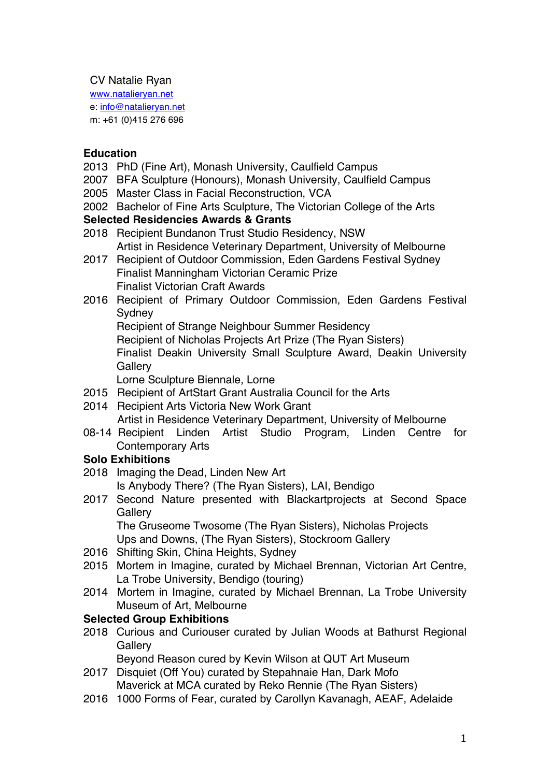#### CV Natalie Ryan

www.natalieryan.net e: info@natalieryan.net m: +61 (0)415 276 696

### **Education**

- 2013 PhD (Fine Art), Monash University, Caulfield Campus
- 2007 BFA Sculpture (Honours), Monash University, Caulfield Campus
- 2005 Master Class in Facial Reconstruction, VCA
- 2002 Bachelor of Fine Arts Sculpture, The Victorian College of the Arts

#### **Selected Residencies Awards & Grants**

- 2018 Recipient Bundanon Trust Studio Residency, NSW Artist in Residence Veterinary Department, University of Melbourne
- 2017 Recipient of Outdoor Commission, Eden Gardens Festival Sydney Finalist Manningham Victorian Ceramic Prize Finalist Victorian Craft Awards
- 2016 Recipient of Primary Outdoor Commission, Eden Gardens Festival **Sydney**

Recipient of Strange Neighbour Summer Residency

Recipient of Nicholas Projects Art Prize (The Ryan Sisters)

Finalist Deakin University Small Sculpture Award, Deakin University **Gallery** 

Lorne Sculpture Biennale, Lorne

- 2015 Recipient of ArtStart Grant Australia Council for the Arts
- 2014 Recipient Arts Victoria New Work Grant Artist in Residence Veterinary Department, University of Melbourne
- 08-14 Recipient Linden Artist Studio Program, Linden Centre for Contemporary Arts

# **Solo Exhibitions**

- 2018 Imaging the Dead, Linden New Art Is Anybody There? (The Ryan Sisters), LAI, Bendigo
- 2017 Second Nature presented with Blackartprojects at Second Space **Gallerv**

The Gruseome Twosome (The Ryan Sisters), Nicholas Projects Ups and Downs, (The Ryan Sisters), Stockroom Gallery

- 2016 Shifting Skin, China Heights, Sydney
- 2015 Mortem in Imagine, curated by Michael Brennan, Victorian Art Centre, La Trobe University, Bendigo (touring)
- 2014 Mortem in Imagine, curated by Michael Brennan, La Trobe University Museum of Art, Melbourne

# **Selected Group Exhibitions**

2018 Curious and Curiouser curated by Julian Woods at Bathurst Regional **Gallery** 

Beyond Reason cured by Kevin Wilson at QUT Art Museum

- 2017 Disquiet (Off You) curated by Stepahnaie Han, Dark Mofo Maverick at MCA curated by Reko Rennie (The Ryan Sisters)
- 2016 1000 Forms of Fear, curated by Carollyn Kavanagh, AEAF, Adelaide